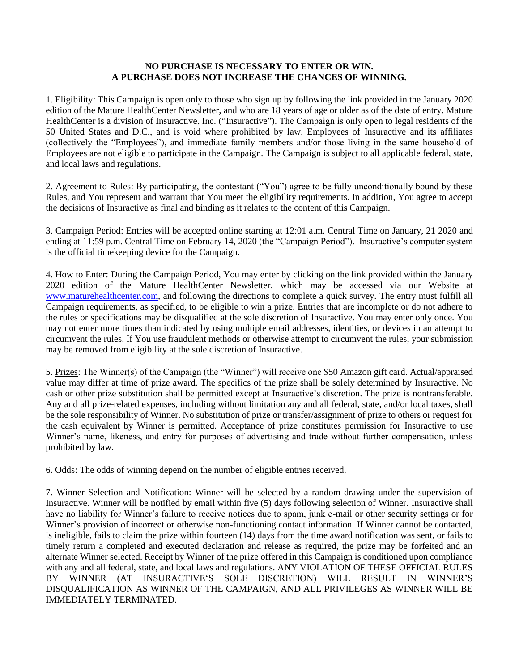## **NO PURCHASE IS NECESSARY TO ENTER OR WIN. A PURCHASE DOES NOT INCREASE THE CHANCES OF WINNING.**

1. Eligibility: This Campaign is open only to those who sign up by following the link provided in the January 2020 edition of the Mature HealthCenter Newsletter, and who are 18 years of age or older as of the date of entry. Mature HealthCenter is a division of Insuractive, Inc. ("Insuractive"). The Campaign is only open to legal residents of the 50 United States and D.C., and is void where prohibited by law. Employees of Insuractive and its affiliates (collectively the "Employees"), and immediate family members and/or those living in the same household of Employees are not eligible to participate in the Campaign. The Campaign is subject to all applicable federal, state, and local laws and regulations.

2. Agreement to Rules: By participating, the contestant ("You") agree to be fully unconditionally bound by these Rules, and You represent and warrant that You meet the eligibility requirements. In addition, You agree to accept the decisions of Insuractive as final and binding as it relates to the content of this Campaign.

3. Campaign Period: Entries will be accepted online starting at 12:01 a.m. Central Time on January, 21 2020 and ending at 11:59 p.m. Central Time on February 14, 2020 (the "Campaign Period"). Insuractive's computer system is the official timekeeping device for the Campaign.

4. How to Enter: During the Campaign Period, You may enter by clicking on the link provided within the January 2020 edition of the Mature HealthCenter Newsletter, which may be accessed via our Website at [www.maturehealthcenter.com,](http://www.maturehealthcenter.com/) and following the directions to complete a quick survey. The entry must fulfill all Campaign requirements, as specified, to be eligible to win a prize. Entries that are incomplete or do not adhere to the rules or specifications may be disqualified at the sole discretion of Insuractive. You may enter only once. You may not enter more times than indicated by using multiple email addresses, identities, or devices in an attempt to circumvent the rules. If You use fraudulent methods or otherwise attempt to circumvent the rules, your submission may be removed from eligibility at the sole discretion of Insuractive.

5. Prizes: The Winner(s) of the Campaign (the "Winner") will receive one \$50 Amazon gift card. Actual/appraised value may differ at time of prize award. The specifics of the prize shall be solely determined by Insuractive. No cash or other prize substitution shall be permitted except at Insuractive's discretion. The prize is nontransferable. Any and all prize-related expenses, including without limitation any and all federal, state, and/or local taxes, shall be the sole responsibility of Winner. No substitution of prize or transfer/assignment of prize to others or request for the cash equivalent by Winner is permitted. Acceptance of prize constitutes permission for Insuractive to use Winner's name, likeness, and entry for purposes of advertising and trade without further compensation, unless prohibited by law.

6. Odds: The odds of winning depend on the number of eligible entries received.

7. Winner Selection and Notification: Winner will be selected by a random drawing under the supervision of Insuractive. Winner will be notified by email within five (5) days following selection of Winner. Insuractive shall have no liability for Winner's failure to receive notices due to spam, junk e-mail or other security settings or for Winner's provision of incorrect or otherwise non-functioning contact information. If Winner cannot be contacted, is ineligible, fails to claim the prize within fourteen (14) days from the time award notification was sent, or fails to timely return a completed and executed declaration and release as required, the prize may be forfeited and an alternate Winner selected. Receipt by Winner of the prize offered in this Campaign is conditioned upon compliance with any and all federal, state, and local laws and regulations. ANY VIOLATION OF THESE OFFICIAL RULES BY WINNER (AT INSURACTIVE'S SOLE DISCRETION) WILL RESULT IN WINNER'S DISQUALIFICATION AS WINNER OF THE CAMPAIGN, AND ALL PRIVILEGES AS WINNER WILL BE IMMEDIATELY TERMINATED.